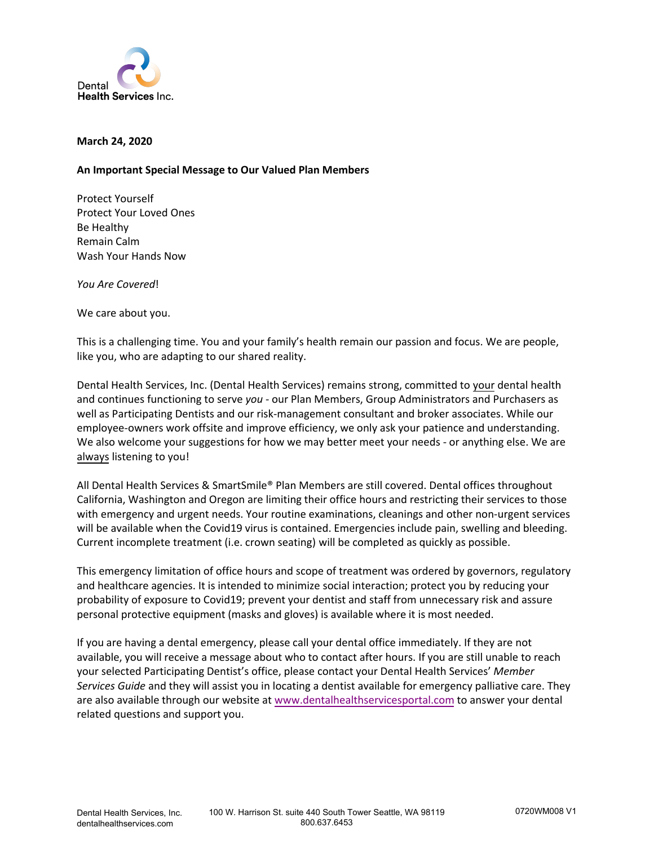

## **March 24, 2020**

## **An Important Special Message to Our Valued Plan Members**

Protect Yourself Protect Your Loved Ones Be Healthy Remain Calm Wash Your Hands Now

*You Are Covered*!

We care about you.

This is a challenging time. You and your family's health remain our passion and focus. We are people, like you, who are adapting to our shared reality.

Dental Health Services, Inc. (Dental Health Services) remains strong, committed to your dental health and continues functioning to serve *you* - our Plan Members, Group Administrators and Purchasers as well as Participating Dentists and our risk-management consultant and broker associates. While our employee-owners work offsite and improve efficiency, we only ask your patience and understanding. We also welcome your suggestions for how we may better meet your needs - or anything else. We are always listening to you!

All Dental Health Services & SmartSmile® Plan Members are still covered. Dental offices throughout California, Washington and Oregon are limiting their office hours and restricting their services to those with emergency and urgent needs. Your routine examinations, cleanings and other non-urgent services will be available when the Covid19 virus is contained. Emergencies include pain, swelling and bleeding. Current incomplete treatment (i.e. crown seating) will be completed as quickly as possible.

This emergency limitation of office hours and scope of treatment was ordered by governors, regulatory and healthcare agencies. It is intended to minimize social interaction; protect you by reducing your probability of exposure to Covid19; prevent your dentist and staff from unnecessary risk and assure personal protective equipment (masks and gloves) is available where it is most needed.

If you are having a dental emergency, please call your dental office immediately. If they are not available, you will receive a message about who to contact after hours. If you are still unable to reach your selected Participating Dentist's office, please contact your Dental Health Services' *Member Services Guide* and they will assist you in locating a dentist available for emergency palliative care. They are also available through our website at [www.dentalhealthservicesportal.com](http://www.dentalhealthservicesportal.com/) to answer your dental related questions and support you.